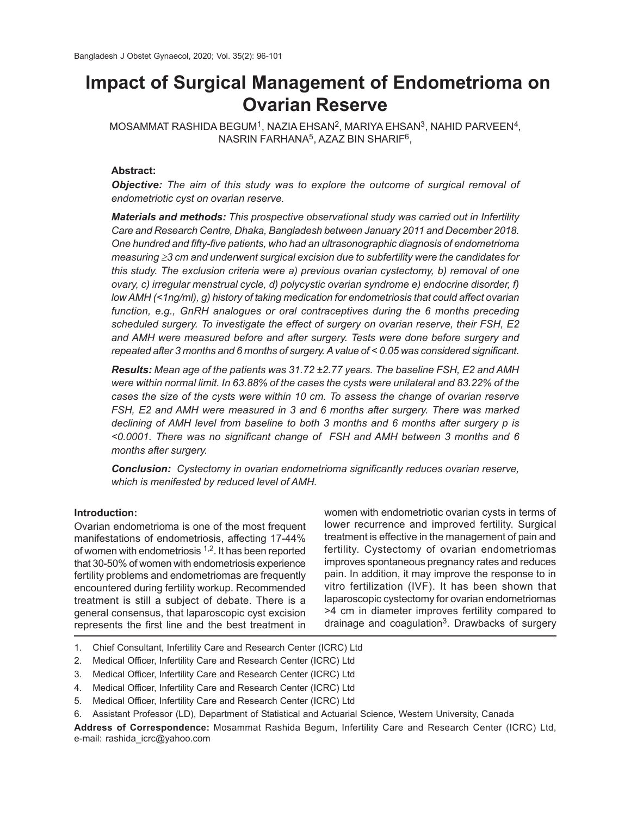# **Impact of Surgical Management of Endometrioma on Ovarian Reserve**

 $\mathsf{\mathsf{MOSAMMAT}}$  RASHIDA BEGUM $^1$ , NAZIA EHSAN $^2$ , MARIYA EHSAN $^3$ , NAHID PARVEEN $^4$ , NASRIN FARHANA<sup>5</sup>, AZAZ BIN SHARIF<sup>6</sup>,

# **Abstract:**

*Objective: The aim of this study was to explore the outcome of surgical removal of endometriotic cyst on ovarian reserve.*

*Materials and methods: This prospective observational study was carried out in Infertility Care and Research Centre, Dhaka, Bangladesh between January 2011 and December 2018. One hundred and fifty-five patients, who had an ultrasonographic diagnosis of endometrioma measuring ≥3 cm and underwent surgical excision due to subfertility were the candidates for this study. The exclusion criteria were a) previous ovarian cystectomy, b) removal of one ovary, c) irregular menstrual cycle, d) polycystic ovarian syndrome e) endocrine disorder, f) low AMH (<1ng/ml), g) history of taking medication for endometriosis that could affect ovarian function, e.g., GnRH analogues or oral contraceptives during the 6 months preceding scheduled surgery. To investigate the effect of surgery on ovarian reserve, their FSH, E2 and AMH were measured before and after surgery. Tests were done before surgery and repeated after 3 months and 6 months of surgery. A value of < 0.05 was considered significant.*

*Results: Mean age of the patients was 31.72 ±2.77 years. The baseline FSH, E2 and AMH were within normal limit. In 63.88% of the cases the cysts were unilateral and 83.22% of the cases the size of the cysts were within 10 cm. To assess the change of ovarian reserve FSH, E2 and AMH were measured in 3 and 6 months after surgery. There was marked declining of AMH level from baseline to both 3 months and 6 months after surgery p is <0.0001. There was no significant change of FSH and AMH between 3 months and 6 months after surgery.*

*Conclusion: Cystectomy in ovarian endometrioma significantly reduces ovarian reserve, which is menifested by reduced level of AMH.*

## **Introduction:**

Ovarian endometrioma is one of the most frequent manifestations of endometriosis, affecting 17-44% of women with endometriosis 1,2. It has been reported that 30-50% of women with endometriosis experience fertility problems and endometriomas are frequently encountered during fertility workup. Recommended treatment is still a subject of debate. There is a general consensus, that laparoscopic cyst excision represents the first line and the best treatment in

women with endometriotic ovarian cysts in terms of lower recurrence and improved fertility. Surgical treatment is effective in the management of pain and fertility. Cystectomy of ovarian endometriomas improves spontaneous pregnancy rates and reduces pain. In addition, it may improve the response to in vitro fertilization (IVF). It has been shown that laparoscopic cystectomy for ovarian endometriomas >4 cm in diameter improves fertility compared to drainage and coagulation<sup>3</sup>. Drawbacks of surgery

- 1. Chief Consultant, Infertility Care and Research Center (ICRC) Ltd
- 2. Medical Officer, Infertility Care and Research Center (ICRC) Ltd
- 3. Medical Officer, Infertility Care and Research Center (ICRC) Ltd
- 4. Medical Officer, Infertility Care and Research Center (ICRC) Ltd
- 5. Medical Officer, Infertility Care and Research Center (ICRC) Ltd
- 6. Assistant Professor (LD), Department of Statistical and Actuarial Science, Western University, Canada

**Address of Correspondence:** Mosammat Rashida Begum, Infertility Care and Research Center (ICRC) Ltd, e-mail: rashida\_icrc@yahoo.com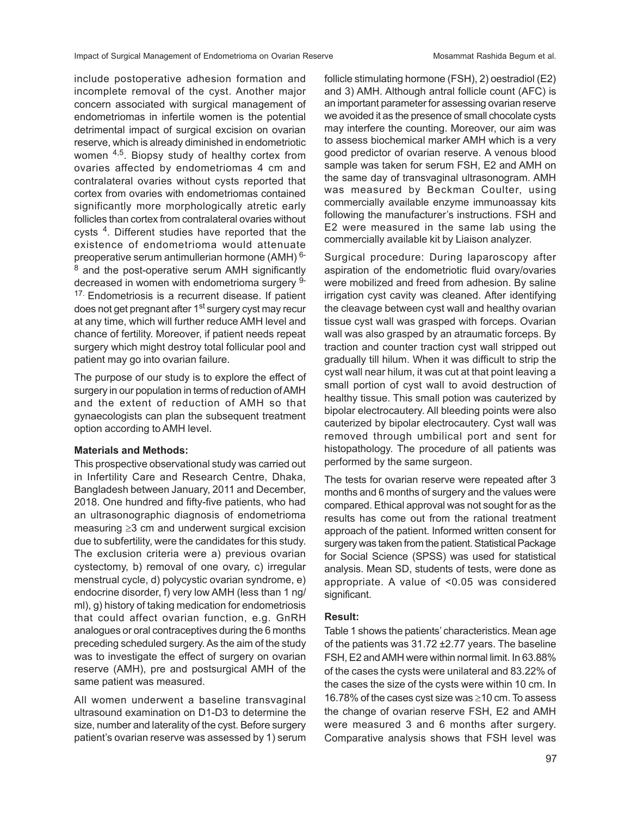include postoperative adhesion formation and incomplete removal of the cyst. Another major concern associated with surgical management of endometriomas in infertile women is the potential detrimental impact of surgical excision on ovarian reserve, which is already diminished in endometriotic women  $4,5$ . Biopsy study of healthy cortex from ovaries affected by endometriomas 4 cm and contralateral ovaries without cysts reported that cortex from ovaries with endometriomas contained significantly more morphologically atretic early follicles than cortex from contralateral ovaries without cysts<sup>4</sup>. Different studies have reported that the existence of endometrioma would attenuate preoperative serum antimullerian hormone (AMH) 6-  $8$  and the post-operative serum AMH significantly decreased in women with endometrioma surgery 9- <sup>17.</sup> Endometriosis is a recurrent disease. If patient does not get pregnant after 1<sup>st</sup> surgery cyst may recur at any time, which will further reduce AMH level and chance of fertility. Moreover, if patient needs repeat surgery which might destroy total follicular pool and patient may go into ovarian failure.

The purpose of our study is to explore the effect of surgery in our population in terms of reduction of AMH and the extent of reduction of AMH so that gynaecologists can plan the subsequent treatment option according to AMH level.

### **Materials and Methods:**

This prospective observational study was carried out in Infertility Care and Research Centre, Dhaka, Bangladesh between January, 2011 and December, 2018. One hundred and fifty-five patients, who had an ultrasonographic diagnosis of endometrioma measuring  $\geq$ 3 cm and underwent surgical excision due to subfertility, were the candidates for this study. The exclusion criteria were a) previous ovarian cystectomy, b) removal of one ovary, c) irregular menstrual cycle, d) polycystic ovarian syndrome, e) endocrine disorder, f) very low AMH (less than 1 ng/ ml), g) history of taking medication for endometriosis that could affect ovarian function, e.g. GnRH analogues or oral contraceptives during the 6 months preceding scheduled surgery. As the aim of the study was to investigate the effect of surgery on ovarian reserve (AMH), pre and postsurgical AMH of the same patient was measured.

All women underwent a baseline transvaginal ultrasound examination on D1-D3 to determine the size, number and laterality of the cyst. Before surgery patient's ovarian reserve was assessed by 1) serum follicle stimulating hormone (FSH), 2) oestradiol (E2) and 3) AMH. Although antral follicle count (AFC) is an important parameter for assessing ovarian reserve we avoided it as the presence of small chocolate cysts may interfere the counting. Moreover, our aim was to assess biochemical marker AMH which is a very good predictor of ovarian reserve. A venous blood sample was taken for serum FSH, E2 and AMH on the same day of transvaginal ultrasonogram. AMH was measured by Beckman Coulter, using commercially available enzyme immunoassay kits following the manufacturer's instructions. FSH and E2 were measured in the same lab using the commercially available kit by Liaison analyzer.

Surgical procedure: During laparoscopy after aspiration of the endometriotic fluid ovary/ovaries were mobilized and freed from adhesion. By saline irrigation cyst cavity was cleaned. After identifying the cleavage between cyst wall and healthy ovarian tissue cyst wall was grasped with forceps. Ovarian wall was also grasped by an atraumatic forceps. By traction and counter traction cyst wall stripped out gradually till hilum. When it was difficult to strip the cyst wall near hilum, it was cut at that point leaving a small portion of cyst wall to avoid destruction of healthy tissue. This small potion was cauterized by bipolar electrocautery. All bleeding points were also cauterized by bipolar electrocautery. Cyst wall was removed through umbilical port and sent for histopathology. The procedure of all patients was performed by the same surgeon.

The tests for ovarian reserve were repeated after 3 months and 6 months of surgery and the values were compared. Ethical approval was not sought for as the results has come out from the rational treatment approach of the patient. Informed written consent for surgery was taken from the patient. Statistical Package for Social Science (SPSS) was used for statistical analysis. Mean SD, students of tests, were done as appropriate. A value of <0.05 was considered significant.

#### **Result:**

Table 1 shows the patients' characteristics. Mean age of the patients was 31.72 ±2.77 years. The baseline FSH, E2 and AMH were within normal limit. In 63.88% of the cases the cysts were unilateral and 83.22% of the cases the size of the cysts were within 10 cm. In 16.78% of the cases cyst size was  $\geq$ 10 cm. To assess the change of ovarian reserve FSH, E2 and AMH were measured 3 and 6 months after surgery. Comparative analysis shows that FSH level was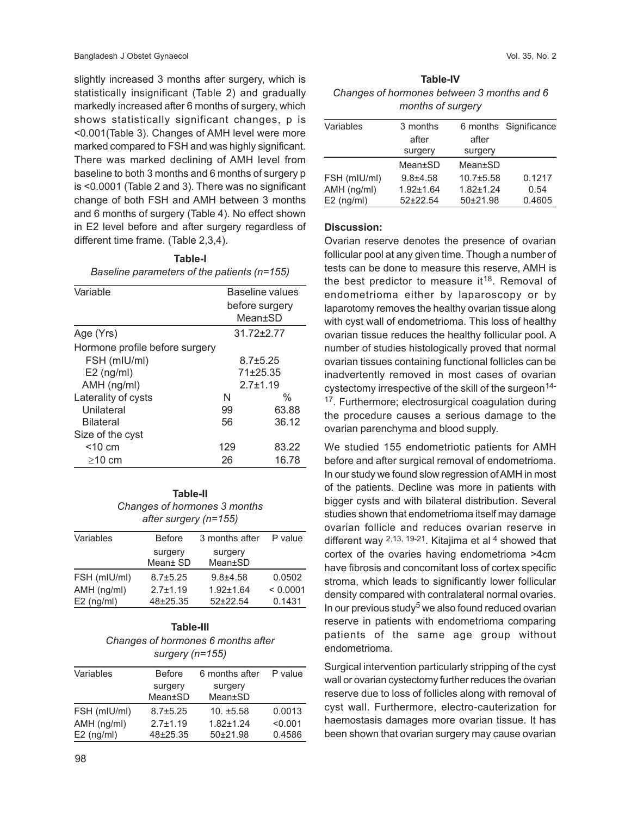slightly increased 3 months after surgery, which is statistically insignificant (Table 2) and gradually markedly increased after 6 months of surgery, which shows statistically significant changes, p is <0.001(Table 3). Changes of AMH level were more marked compared to FSH and was highly significant. There was marked declining of AMH level from baseline to both 3 months and 6 months of surgery p is <0.0001 (Table 2 and 3). There was no significant change of both FSH and AMH between 3 months and 6 months of surgery (Table 4). No effect shown in E2 level before and after surgery regardless of different time frame. (Table 2,3,4).

**Table-I** *Baseline parameters of the patients (n=155)*

| Variable                       | Baseline values |                |  |
|--------------------------------|-----------------|----------------|--|
|                                | before surgery  |                |  |
|                                | Mean+SD         |                |  |
| Age (Yrs)                      |                 | $31.72 + 2.77$ |  |
| Hormone profile before surgery |                 |                |  |
| FSH (mIU/ml)                   | $8.7 \pm 5.25$  |                |  |
| $E2$ (ng/ml)                   | 71±25.35        |                |  |
| AMH (ng/ml)                    | $2.7 + 1.19$    |                |  |
| Laterality of cysts            | N               | $\%$           |  |
| Unilateral                     | 99              | 63.88          |  |
| <b>Bilateral</b>               | 56              | 36.12          |  |
| Size of the cyst               |                 |                |  |
| $<$ 10 cm                      | 129             | 83.22          |  |
| $\geq$ 10 cm                   | 26              | 16.78          |  |

**Table-II** *Changes of hormones 3 months after surgery (n=155)*

| Variables    | <b>Before</b>  | 3 months after  | P value  |
|--------------|----------------|-----------------|----------|
|              | surgery        | surgery         |          |
|              | Mean± SD       | Mean±SD         |          |
| FSH (mIU/ml) | $8.7 \pm 5.25$ | $9.8 + 4.58$    | 0.0502   |
| AMH (ng/ml)  | $2.7 \pm 1.19$ | $1.92 \pm 1.64$ | < 0.0001 |
| $E2$ (ng/ml) | 48±25.35       | $52+22.54$      | 0.1431   |

# **Table-III** *Changes of hormones 6 months after surgery (n=155)*

| Variables    | <b>Before</b>  | 6 months after | P value |
|--------------|----------------|----------------|---------|
|              | surgery        | surgery        |         |
|              | Mean±SD        | Mean±SD        |         |
| FSH (mIU/ml) | $8.7 \pm 5.25$ | $10. \pm 5.58$ | 0.0013  |
| AMH (ng/ml)  | $2.7 \pm 1.19$ | $1.82 + 1.24$  | < 0.001 |
| $E2$ (ng/ml) | 48±25.35       | 50±21.98       | 0.4586  |
|              |                |                |         |

| <b>Table-IV</b>                            |  |  |  |
|--------------------------------------------|--|--|--|
| Changes of hormones between 3 months and 6 |  |  |  |
| months of surgery                          |  |  |  |

| Variables    | 3 months        |               | 6 months Significance |
|--------------|-----------------|---------------|-----------------------|
|              | after           | after         |                       |
|              | surgery         | surgery       |                       |
|              | Mean+SD         | Mean±SD       |                       |
| FSH (mIU/ml) | $9.8 + 4.58$    | $10.7 + 5.58$ | 0.1217                |
| AMH (ng/ml)  | $1.92 \pm 1.64$ | $1.82 + 1.24$ | 0.54                  |
| $E2$ (ng/ml) | $52+22.54$      | 50±21.98      | 0.4605                |

## **Discussion:**

Ovarian reserve denotes the presence of ovarian follicular pool at any given time. Though a number of tests can be done to measure this reserve, AMH is the best predictor to measure it<sup>18</sup>. Removal of endometrioma either by laparoscopy or by laparotomy removes the healthy ovarian tissue along with cyst wall of endometrioma. This loss of healthy ovarian tissue reduces the healthy follicular pool. A number of studies histologically proved that normal ovarian tissues containing functional follicles can be inadvertently removed in most cases of ovarian cystectomy irrespective of the skill of the surgeon<sup>14-</sup> <sup>17</sup>. Furthermore; electrosurgical coagulation during the procedure causes a serious damage to the ovarian parenchyma and blood supply.

We studied 155 endometriotic patients for AMH before and after surgical removal of endometrioma. In our study we found slow regression of AMH in most of the patients. Decline was more in patients with bigger cysts and with bilateral distribution. Several studies shown that endometrioma itself may damage ovarian follicle and reduces ovarian reserve in different way  $2,13, 19-21$ . Kitajima et al 4 showed that cortex of the ovaries having endometrioma >4cm have fibrosis and concomitant loss of cortex specific stroma, which leads to significantly lower follicular density compared with contralateral normal ovaries. In our previous study<sup>5</sup> we also found reduced ovarian reserve in patients with endometrioma comparing patients of the same age group without endometrioma.

Surgical intervention particularly stripping of the cyst wall or ovarian cystectomy further reduces the ovarian reserve due to loss of follicles along with removal of cyst wall. Furthermore, electro-cauterization for haemostasis damages more ovarian tissue. It has been shown that ovarian surgery may cause ovarian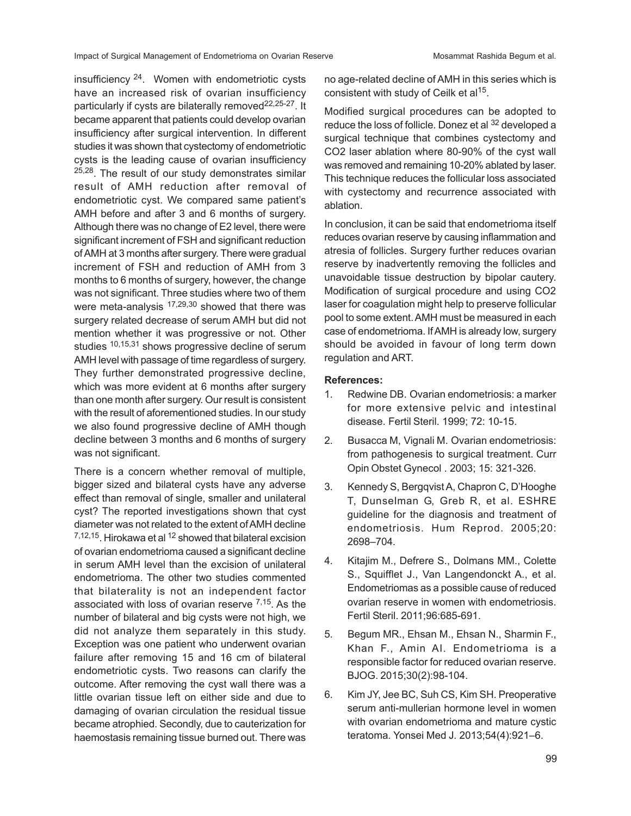insufficiency 24. Women with endometriotic cysts have an increased risk of ovarian insufficiency particularly if cysts are bilaterally removed<sup>22,25-27</sup>. It became apparent that patients could develop ovarian insufficiency after surgical intervention. In different studies it was shown that cystectomy of endometriotic cysts is the leading cause of ovarian insufficiency <sup>25,28</sup>. The result of our study demonstrates similar result of AMH reduction after removal of endometriotic cyst. We compared same patient's AMH before and after 3 and 6 months of surgery. Although there was no change of E2 level, there were significant increment of FSH and significant reduction of AMH at 3 months after surgery. There were gradual increment of FSH and reduction of AMH from 3 months to 6 months of surgery, however, the change was not significant. Three studies where two of them were meta-analysis 17,29,30 showed that there was surgery related decrease of serum AMH but did not mention whether it was progressive or not. Other studies <sup>10,15,31</sup> shows progressive decline of serum AMH level with passage of time regardless of surgery. They further demonstrated progressive decline, which was more evident at 6 months after surgery than one month after surgery. Our result is consistent with the result of aforementioned studies. In our study we also found progressive decline of AMH though decline between 3 months and 6 months of surgery was not significant.

There is a concern whether removal of multiple, bigger sized and bilateral cysts have any adverse effect than removal of single, smaller and unilateral cyst? The reported investigations shown that cyst diameter was not related to the extent of AMH decline 7,12,15. Hirokawa et al <sup>12</sup> showed that bilateral excision of ovarian endometrioma caused a significant decline in serum AMH level than the excision of unilateral endometrioma. The other two studies commented that bilaterality is not an independent factor associated with loss of ovarian reserve <sup>7,15</sup>. As the number of bilateral and big cysts were not high, we did not analyze them separately in this study. Exception was one patient who underwent ovarian failure after removing 15 and 16 cm of bilateral endometriotic cysts. Two reasons can clarify the outcome. After removing the cyst wall there was a little ovarian tissue left on either side and due to damaging of ovarian circulation the residual tissue became atrophied. Secondly, due to cauterization for haemostasis remaining tissue burned out. There was

no age-related decline of AMH in this series which is consistent with study of Ceilk et al<sup>15</sup>.

Modified surgical procedures can be adopted to reduce the loss of follicle. Donez et al <sup>32</sup> developed a surgical technique that combines cystectomy and CO2 laser ablation where 80-90% of the cyst wall was removed and remaining 10-20% ablated by laser. This technique reduces the follicular loss associated with cystectomy and recurrence associated with ablation.

In conclusion, it can be said that endometrioma itself reduces ovarian reserve by causing inflammation and atresia of follicles. Surgery further reduces ovarian reserve by inadvertently removing the follicles and unavoidable tissue destruction by bipolar cautery. Modification of surgical procedure and using CO2 laser for coagulation might help to preserve follicular pool to some extent. AMH must be measured in each case of endometrioma. If AMH is already low, surgery should be avoided in favour of long term down regulation and ART.

## **References:**

- 1. Redwine DB. Ovarian endometriosis: a marker for more extensive pelvic and intestinal disease. Fertil Steril. 1999; 72: 10-15.
- 2. Busacca M, Vignali M. Ovarian endometriosis: from pathogenesis to surgical treatment. Curr Opin Obstet Gynecol . 2003; 15: 321-326.
- 3. Kennedy S, Bergqvist A, Chapron C, D'Hooghe T, Dunselman G, Greb R, et al. ESHRE guideline for the diagnosis and treatment of endometriosis. Hum Reprod. 2005;20: 2698–704.
- 4. Kitajim M., Defrere S., Dolmans MM., Colette S., Squifflet J., Van Langendonckt A., et al. Endometriomas as a possible cause of reduced ovarian reserve in women with endometriosis. Fertil Steril. 2011;96:685-691.
- 5. Begum MR., Ehsan M., Ehsan N., Sharmin F., Khan F., Amin AI. Endometrioma is a responsible factor for reduced ovarian reserve. BJOG. 2015;30(2):98-104.
- 6. Kim JY, Jee BC, Suh CS, Kim SH. Preoperative serum anti-mullerian hormone level in women with ovarian endometrioma and mature cystic teratoma*.* Yonsei Med J*.* 2013;54(4):921–6.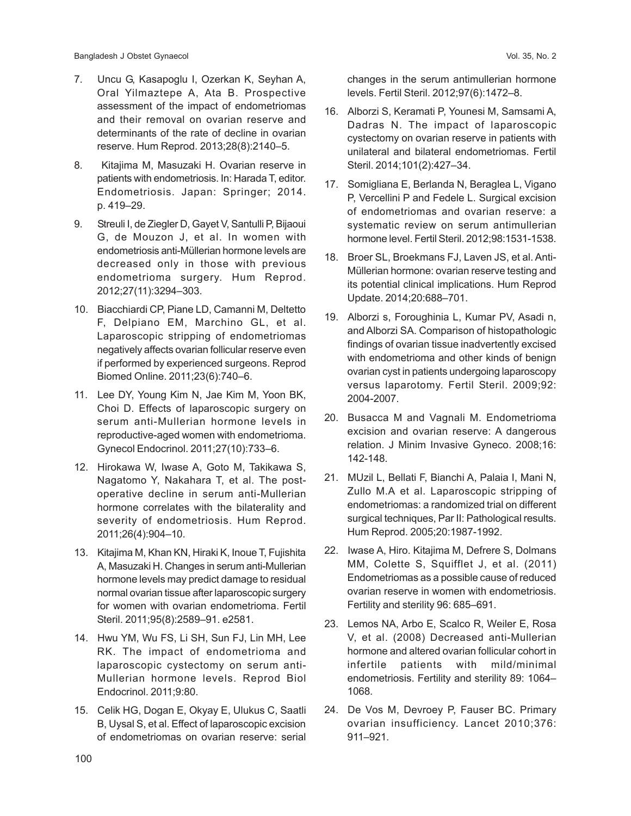- 7. Uncu G, Kasapoglu I, Ozerkan K, Seyhan A, Oral Yilmaztepe A, Ata B. Prospective assessment of the impact of endometriomas and their removal on ovarian reserve and determinants of the rate of decline in ovarian reserve. Hum Reprod. 2013;28(8):2140–5.
- 8. Kitajima M, Masuzaki H. Ovarian reserve in patients with endometriosis. In: Harada T, editor. Endometriosis. Japan: Springer; 2014. p. 419–29.
- 9. Streuli I, de Ziegler D, Gayet V, Santulli P, Bijaoui G, de Mouzon J, et al. In women with endometriosis anti-Müllerian hormone levels are decreased only in those with previous endometrioma surgery. Hum Reprod. 2012;27(11):3294–303.
- 10. Biacchiardi CP, Piane LD, Camanni M, Deltetto F, Delpiano EM, Marchino GL, et al. Laparoscopic stripping of endometriomas negatively affects ovarian follicular reserve even if performed by experienced surgeons. Reprod Biomed Online. 2011;23(6):740–6.
- 11. Lee DY, Young Kim N, Jae Kim M, Yoon BK, Choi D. Effects of laparoscopic surgery on serum anti-Mullerian hormone levels in reproductive-aged women with endometrioma. Gynecol Endocrinol. 2011;27(10):733–6.
- 12. Hirokawa W, Iwase A, Goto M, Takikawa S, Nagatomo Y, Nakahara T, et al. The postoperative decline in serum anti-Mullerian hormone correlates with the bilaterality and severity of endometriosis. Hum Reprod. 2011;26(4):904–10.
- 13. Kitajima M, Khan KN, Hiraki K, Inoue T, Fujishita A, Masuzaki H. Changes in serum anti-Mullerian hormone levels may predict damage to residual normal ovarian tissue after laparoscopic surgery for women with ovarian endometrioma. Fertil Steril. 2011;95(8):2589–91. e2581.
- 14. Hwu YM, Wu FS, Li SH, Sun FJ, Lin MH, Lee RK. The impact of endometrioma and laparoscopic cystectomy on serum anti-Mullerian hormone levels. Reprod Biol Endocrinol. 2011;9:80.
- 15. Celik HG, Dogan E, Okyay E, Ulukus C, Saatli B, Uysal S, et al. Effect of laparoscopic excision of endometriomas on ovarian reserve: serial

changes in the serum antimullerian hormone levels. Fertil Steril. 2012;97(6):1472–8.

- 16. Alborzi S, Keramati P, Younesi M, Samsami A, Dadras N. The impact of laparoscopic cystectomy on ovarian reserve in patients with unilateral and bilateral endometriomas. Fertil Steril. 2014;101(2):427–34.
- 17. Somigliana E, Berlanda N, Beraglea L, Vigano P, Vercellini P and Fedele L. Surgical excision of endometriomas and ovarian reserve: a systematic review on serum antimullerian hormone level. Fertil Steril. 2012;98:1531-1538.
- 18. Broer SL, Broekmans FJ, Laven JS, et al. Anti-Müllerian hormone: ovarian reserve testing and its potential clinical implications. Hum Reprod Update. 2014;20:688–701.
- 19. Alborzi s, Foroughinia L, Kumar PV, Asadi n, and Alborzi SA. Comparison of histopathologic findings of ovarian tissue inadvertently excised with endometrioma and other kinds of benign ovarian cyst in patients undergoing laparoscopy versus laparotomy. Fertil Steril. 2009;92: 2004-2007.
- 20. Busacca M and Vagnali M. Endometrioma excision and ovarian reserve: A dangerous relation. J Minim Invasive Gyneco. 2008;16: 142-148.
- 21. MUzil L, Bellati F, Bianchi A, Palaia I, Mani N, Zullo M.A et al. Laparoscopic stripping of endometriomas: a randomized trial on different surgical techniques, Par II: Pathological results. Hum Reprod. 2005;20:1987-1992.
- 22. Iwase A, Hiro. Kitajima M, Defrere S, Dolmans MM, Colette S, Squifflet J, et al. (2011) Endometriomas as a possible cause of reduced ovarian reserve in women with endometriosis. Fertility and sterility 96: 685–691.
- 23. Lemos NA, Arbo E, Scalco R, Weiler E, Rosa V, et al. (2008) Decreased anti-Mullerian hormone and altered ovarian follicular cohort in infertile patients with mild/minimal endometriosis. Fertility and sterility 89: 1064– 1068.
- 24. De Vos M, Devroey P, Fauser BC. Primary ovarian insufficiency. Lancet 2010;376: 911–921.